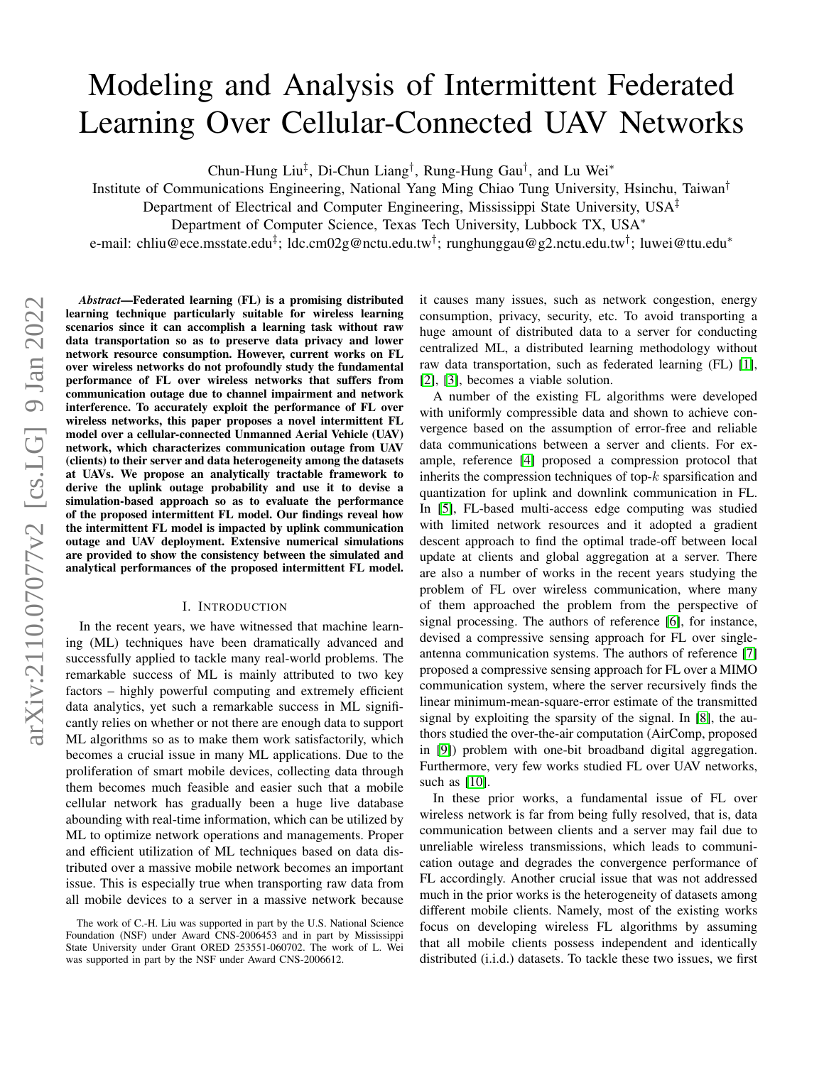# <span id="page-0-0"></span>Modeling and Analysis of Intermittent Federated Learning Over Cellular-Connected UAV Networks

Chun-Hung Liu<sup>‡</sup>, Di-Chun Liang<sup>†</sup>, Rung-Hung Gau<sup>†</sup>, and Lu Wei<sup>\*</sup>

Institute of Communications Engineering, National Yang Ming Chiao Tung University, Hsinchu, Taiwan†

Department of Electrical and Computer Engineering, Mississippi State University, USA‡

Department of Computer Science, Texas Tech University, Lubbock TX, USA<sup>∗</sup>

e-mail: chliu@ece.msstate.edu‡; ldc.cm02g@nctu.edu.tw†; runghunggau@g2.nctu.edu.tw†; luwei@ttu.edu\*

*Abstract*—Federated learning (FL) is a promising distributed learning technique particularly suitable for wireless learning scenarios since it can accomplish a learning task without raw data transportation so as to preserve data privacy and lower network resource consumption. However, current works on FL over wireless networks do not profoundly study the fundamental performance of FL over wireless networks that suffers from communication outage due to channel impairment and network interference. To accurately exploit the performance of FL over wireless networks, this paper proposes a novel intermittent FL model over a cellular-connected Unmanned Aerial Vehicle (UAV) network, which characterizes communication outage from UAV (clients) to their server and data heterogeneity among the datasets at UAVs. We propose an analytically tractable framework to derive the uplink outage probability and use it to devise a simulation-based approach so as to evaluate the performance of the proposed intermittent FL model. Our findings reveal how the intermittent FL model is impacted by uplink communication outage and UAV deployment. Extensive numerical simulations are provided to show the consistency between the simulated and analytical performances of the proposed intermittent FL model.

#### I. INTRODUCTION

In the recent years, we have witnessed that machine learning (ML) techniques have been dramatically advanced and successfully applied to tackle many real-world problems. The remarkable success of ML is mainly attributed to two key factors – highly powerful computing and extremely efficient data analytics, yet such a remarkable success in ML significantly relies on whether or not there are enough data to support ML algorithms so as to make them work satisfactorily, which becomes a crucial issue in many ML applications. Due to the proliferation of smart mobile devices, collecting data through them becomes much feasible and easier such that a mobile cellular network has gradually been a huge live database abounding with real-time information, which can be utilized by ML to optimize network operations and managements. Proper and efficient utilization of ML techniques based on data distributed over a massive mobile network becomes an important issue. This is especially true when transporting raw data from all mobile devices to a server in a massive network because

it causes many issues, such as network congestion, energy consumption, privacy, security, etc. To avoid transporting a huge amount of distributed data to a server for conducting centralized ML, a distributed learning methodology without raw data transportation, such as federated learning (FL) [\[1\]](#page-5-0), [\[2\]](#page-5-1), [\[3\]](#page-5-2), becomes a viable solution.

A number of the existing FL algorithms were developed with uniformly compressible data and shown to achieve convergence based on the assumption of error-free and reliable data communications between a server and clients. For example, reference [\[4\]](#page-5-3) proposed a compression protocol that inherits the compression techniques of top- $k$  sparsification and quantization for uplink and downlink communication in FL. In [\[5\]](#page-5-4), FL-based multi-access edge computing was studied with limited network resources and it adopted a gradient descent approach to find the optimal trade-off between local update at clients and global aggregation at a server. There are also a number of works in the recent years studying the problem of FL over wireless communication, where many of them approached the problem from the perspective of signal processing. The authors of reference [\[6\]](#page-5-5), for instance, devised a compressive sensing approach for FL over singleantenna communication systems. The authors of reference [\[7\]](#page-5-6) proposed a compressive sensing approach for FL over a MIMO communication system, where the server recursively finds the linear minimum-mean-square-error estimate of the transmitted signal by exploiting the sparsity of the signal. In [\[8\]](#page-5-7), the authors studied the over-the-air computation (AirComp, proposed in [\[9\]](#page-5-8)) problem with one-bit broadband digital aggregation. Furthermore, very few works studied FL over UAV networks, such as [\[10\]](#page-5-9).

In these prior works, a fundamental issue of FL over wireless network is far from being fully resolved, that is, data communication between clients and a server may fail due to unreliable wireless transmissions, which leads to communication outage and degrades the convergence performance of FL accordingly. Another crucial issue that was not addressed much in the prior works is the heterogeneity of datasets among different mobile clients. Namely, most of the existing works focus on developing wireless FL algorithms by assuming that all mobile clients possess independent and identically distributed (i.i.d.) datasets. To tackle these two issues, we first

The work of C.-H. Liu was supported in part by the U.S. National Science Foundation (NSF) under Award CNS-2006453 and in part by Mississippi State University under Grant ORED 253551-060702. The work of L. Wei was supported in part by the NSF under Award CNS-2006612.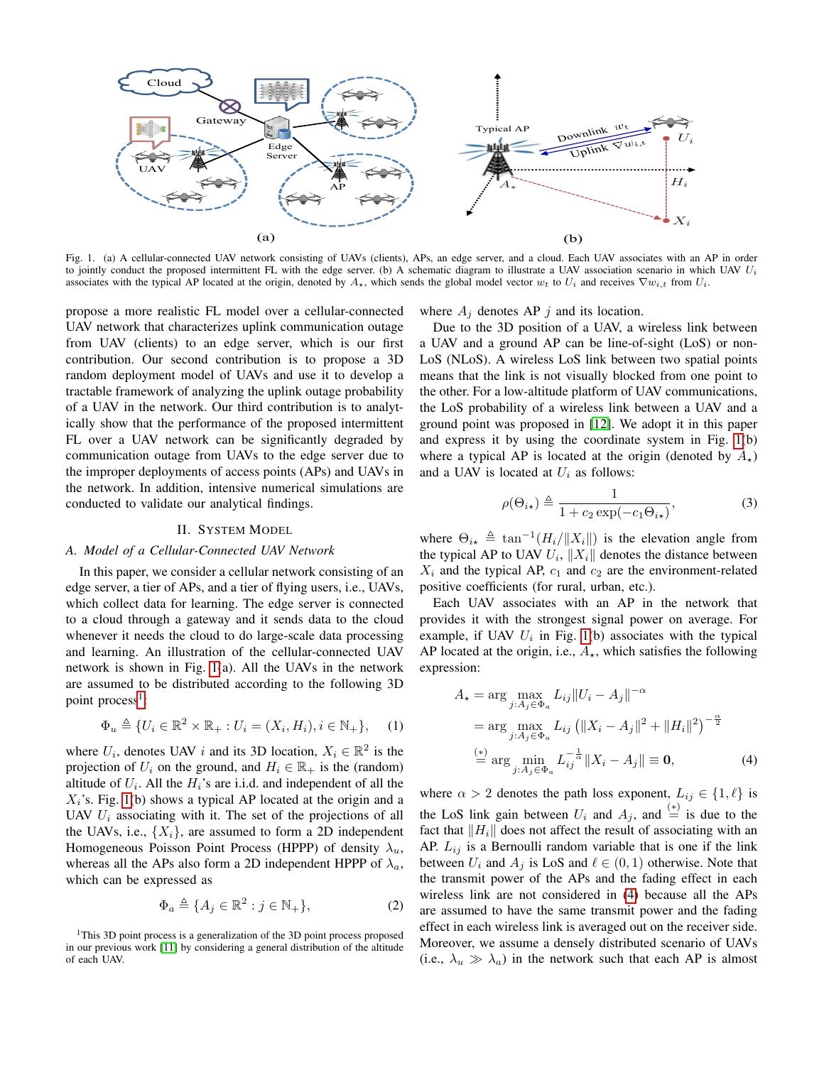

<span id="page-1-0"></span>Fig. 1. (a) A cellular-connected UAV network consisting of UAVs (clients), APs, an edge server, and a cloud. Each UAV associates with an AP in order to jointly conduct the proposed intermittent FL with the edge server. (b) A schematic diagram to illustrate a UAV association scenario in which UAV  $U_i$ associates with the typical AP located at the origin, denoted by  $A_{\star}$ , which sends the global model vector  $w_t$  to  $U_i$  and receives  $\nabla w_{i,t}$  from  $U_i$ .

propose a more realistic FL model over a cellular-connected UAV network that characterizes uplink communication outage from UAV (clients) to an edge server, which is our first contribution. Our second contribution is to propose a 3D random deployment model of UAVs and use it to develop a tractable framework of analyzing the uplink outage probability of a UAV in the network. Our third contribution is to analytically show that the performance of the proposed intermittent FL over a UAV network can be significantly degraded by communication outage from UAVs to the edge server due to the improper deployments of access points (APs) and UAVs in the network. In addition, intensive numerical simulations are conducted to validate our analytical findings.

# II. SYSTEM MODEL

# <span id="page-1-3"></span>*A. Model of a Cellular-Connected UAV Network*

In this paper, we consider a cellular network consisting of an edge server, a tier of APs, and a tier of flying users, i.e., UAVs, which collect data for learning. The edge server is connected to a cloud through a gateway and it sends data to the cloud whenever it needs the cloud to do large-scale data processing and learning. An illustration of the cellular-connected UAV network is shown in Fig. [1\(](#page-1-0)a). All the UAVs in the network are assumed to be distributed according to the following 3D point process<sup>[1](#page-1-1)</sup>:

$$
\Phi_u \triangleq \{ U_i \in \mathbb{R}^2 \times \mathbb{R}_+ : U_i = (X_i, H_i), i \in \mathbb{N}_+ \}, \quad (1)
$$

where  $U_i$ , denotes UAV i and its 3D location,  $X_i \in \mathbb{R}^2$  is the projection of  $U_i$  on the ground, and  $H_i \in \mathbb{R}_+$  is the (random) altitude of  $U_i$ . All the  $H_i$ 's are i.i.d. and independent of all the  $X_i$ 's. Fig. [1\(](#page-1-0)b) shows a typical AP located at the origin and a UAV  $U_i$  associating with it. The set of the projections of all the UAVs, i.e.,  $\{X_i\}$ , are assumed to form a 2D independent Homogeneous Poisson Point Process (HPPP) of density  $\lambda_u$ , whereas all the APs also form a 2D independent HPPP of  $\lambda_a$ , which can be expressed as

$$
\Phi_a \triangleq \{ A_j \in \mathbb{R}^2 : j \in \mathbb{N}_+ \},\tag{2}
$$

<span id="page-1-1"></span><sup>1</sup>This 3D point process is a generalization of the 3D point process proposed in our previous work [\[11\]](#page-5-10) by considering a general distribution of the altitude of each UAV.

where  $A_j$  denotes AP j and its location.

Due to the 3D position of a UAV, a wireless link between a UAV and a ground AP can be line-of-sight (LoS) or non-LoS (NLoS). A wireless LoS link between two spatial points means that the link is not visually blocked from one point to the other. For a low-altitude platform of UAV communications, the LoS probability of a wireless link between a UAV and a ground point was proposed in [\[12\]](#page-5-11). We adopt it in this paper and express it by using the coordinate system in Fig. [1\(](#page-1-0)b) where a typical AP is located at the origin (denoted by  $A_{\star}$ ) and a UAV is located at  $U_i$  as follows:

<span id="page-1-4"></span>
$$
\rho(\Theta_{i\star}) \triangleq \frac{1}{1 + c_2 \exp(-c_1 \Theta_{i\star})},\tag{3}
$$

where  $\Theta_{i\star} \triangleq \tan^{-1}(H_i/||X_i||)$  is the elevation angle from the typical AP to UAV  $U_i$ ,  $||X_i||$  denotes the distance between  $X_i$  and the typical AP,  $c_1$  and  $c_2$  are the environment-related positive coefficients (for rural, urban, etc.).

Each UAV associates with an AP in the network that provides it with the strongest signal power on average. For example, if UAV  $U_i$  in Fig. [1\(](#page-1-0)b) associates with the typical AP located at the origin, i.e.,  $A_{\star}$ , which satisfies the following expression:

<span id="page-1-2"></span>
$$
A_{\star} = \arg \max_{j:A_j \in \Phi_a} L_{ij} ||U_i - A_j||^{-\alpha}
$$
  
= arg max  $\max_{j:A_j \in \Phi_a} L_{ij} (||X_i - A_j||^2 + ||H_i||^2)^{-\frac{\alpha}{2}}$   

$$
\stackrel{(*)}{=} \arg \min_{j:A_j \in \Phi_a} L_{ij}^{-\frac{1}{\alpha}} ||X_i - A_j|| \equiv 0,
$$
 (4)

where  $\alpha > 2$  denotes the path loss exponent,  $L_{ij} \in \{1, \ell\}$  is the LoS link gain between  $U_i$  and  $A_j$ , and  $\stackrel{(*)}{=}$  is due to the fact that  $\|H_i\|$  does not affect the result of associating with an AP.  $L_{ij}$  is a Bernoulli random variable that is one if the link between  $U_i$  and  $A_j$  is LoS and  $\ell \in (0, 1)$  otherwise. Note that the transmit power of the APs and the fading effect in each wireless link are not considered in [\(4\)](#page-1-2) because all the APs are assumed to have the same transmit power and the fading effect in each wireless link is averaged out on the receiver side. Moreover, we assume a densely distributed scenario of UAVs (i.e.,  $\lambda_u \gg \lambda_a$ ) in the network such that each AP is almost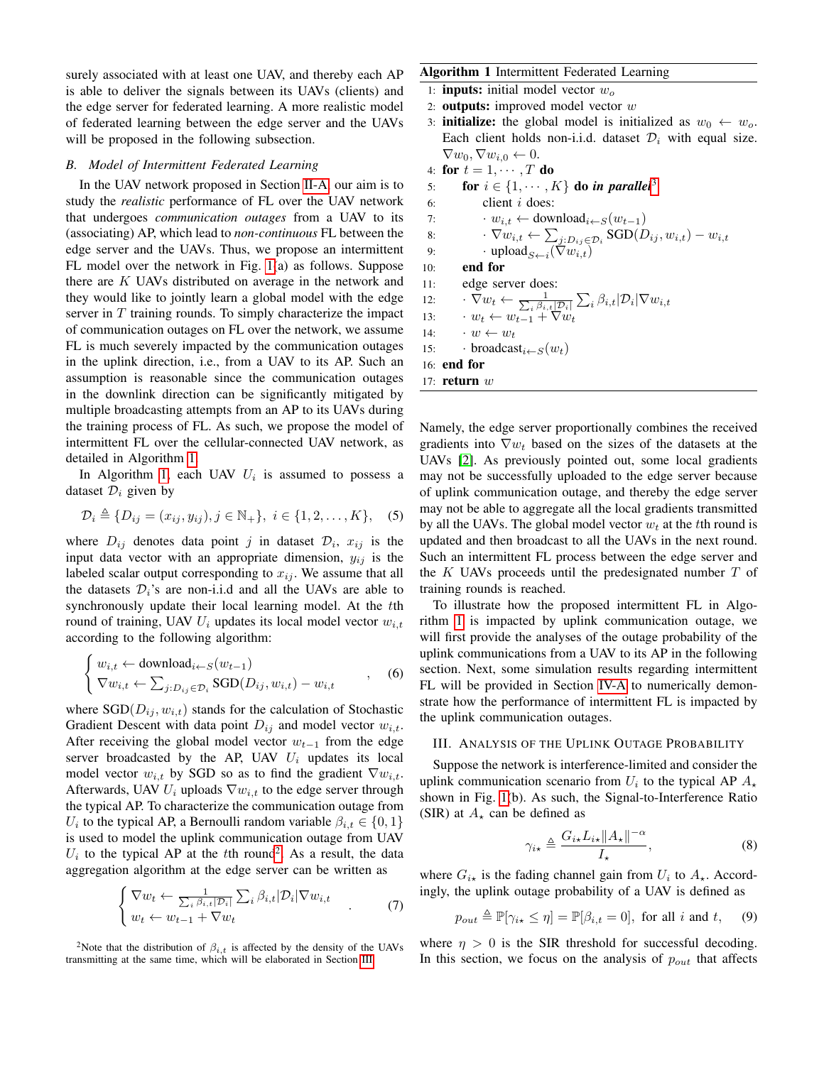surely associated with at least one UAV, and thereby each AP is able to deliver the signals between its UAVs (clients) and the edge server for federated learning. A more realistic model of federated learning between the edge server and the UAVs will be proposed in the following subsection.

#### <span id="page-2-3"></span>*B. Model of Intermittent Federated Learning*

In the UAV network proposed in Section [II-A,](#page-1-3) our aim is to study the *realistic* performance of FL over the UAV network that undergoes *communication outages* from a UAV to its (associating) AP, which lead to *non-continuous* FL between the edge server and the UAVs. Thus, we propose an intermittent FL model over the network in Fig. [1\(](#page-1-0)a) as follows. Suppose there are  $K$  UAVs distributed on average in the network and they would like to jointly learn a global model with the edge server in  $T$  training rounds. To simply characterize the impact of communication outages on FL over the network, we assume FL is much severely impacted by the communication outages in the uplink direction, i.e., from a UAV to its AP. Such an assumption is reasonable since the communication outages in the downlink direction can be significantly mitigated by multiple broadcasting attempts from an AP to its UAVs during the training process of FL. As such, we propose the model of intermittent FL over the cellular-connected UAV network, as detailed in Algorithm [1.](#page-2-0)

In Algorithm [1,](#page-2-0) each UAV  $U_i$  is assumed to possess a dataset  $\mathcal{D}_i$  given by

$$
\mathcal{D}_i \triangleq \{D_{ij} = (x_{ij}, y_{ij}), j \in \mathbb{N}_+\}, i \in \{1, 2, ..., K\},
$$
 (5)

where  $D_{ij}$  denotes data point j in dataset  $\mathcal{D}_i$ ,  $x_{ij}$  is the input data vector with an appropriate dimension,  $y_{ij}$  is the labeled scalar output corresponding to  $x_{ij}$ . We assume that all the datasets  $\mathcal{D}_i$ 's are non-i.i.d and all the UAVs are able to synchronously update their local learning model. At the tth round of training, UAV  $U_i$  updates its local model vector  $w_{i,t}$ according to the following algorithm:

$$
\begin{cases} w_{i,t} \leftarrow \text{download}_{i \leftarrow S}(w_{t-1}) \\ \nabla w_{i,t} \leftarrow \sum_{j:D_{ij} \in \mathcal{D}_i} \text{SGD}(D_{ij}, w_{i,t}) - w_{i,t} \end{cases}
$$
, (6)

where  $SGD(D_{ij}, w_{i,t})$  stands for the calculation of Stochastic Gradient Descent with data point  $D_{ij}$  and model vector  $w_{i,t}$ . After receiving the global model vector  $w_{t-1}$  from the edge server broadcasted by the AP, UAV  $U_i$  updates its local model vector  $w_{i,t}$  by SGD so as to find the gradient  $\nabla w_{i,t}$ . Afterwards, UAV  $U_i$  uploads  $\nabla w_{i,t}$  to the edge server through the typical AP. To characterize the communication outage from  $U_i$  to the typical AP, a Bernoulli random variable  $\beta_{i,t} \in \{0,1\}$ is used to model the uplink communication outage from UAV  $U_i$  to the typical AP at the tth round<sup>[2](#page-2-1)</sup>. As a result, the data aggregation algorithm at the edge server can be written as

$$
\begin{cases} \nabla w_t \leftarrow \frac{1}{\sum_i \beta_{i,t} | \mathcal{D}_i |} \sum_i \beta_{i,t} | \mathcal{D}_i | \nabla w_{i,t} \\ w_t \leftarrow w_{t-1} + \nabla w_t \end{cases} \tag{7}
$$

<span id="page-2-1"></span><sup>2</sup>Note that the distribution of  $\beta_{i,t}$  is affected by the density of the UAVs transmitting at the same time, which will be elaborated in Section [III.](#page-2-2)

# <span id="page-2-0"></span>**Algorithm 1 Intermittent Federated Learning**

- 1: **inputs:** initial model vector  $w<sub>o</sub>$
- 2: **outputs:** improved model vector  $w$
- 3: **initialize:** the global model is initialized as  $w_0 \leftarrow w_o$ . Each client holds non-i.i.d. dataset  $\mathcal{D}_i$  with equal size.  $\nabla w_0, \nabla w_{i,0} \leftarrow 0.$
- 4: for  $t = 1, \cdots, T$  do 5: **for**  $i \in \{1, \dots, K\}$  do *in parallel*<sup>[3](#page-0-0)</sup>
- 6: client i does: 7: •  $w_{i,t} \leftarrow \text{download}_{i \leftarrow S}(w_{t-1})$ 8:  $\cdot \nabla w_{i,t} \leftarrow \sum_{j:D_{ij} \in \mathcal{D}_i} \text{SGD}(D_{ij}, w_{i,t}) - w_{i,t}$ 9: **upload**  $S \leftarrow i(\nabla w_{i,t})$ 10: end for 11: edge server does: 12:  $\cdot \nabla w_t \leftarrow \frac{1}{\sum_i \beta_{i,t} | \mathcal{D}_i |} \sum_i \beta_{i,t} | \mathcal{D}_i | \nabla w_{i,t}$ 13:  $w_t \leftarrow w_{t-1} + \nabla w_t$ 14:  $\cdots w \leftarrow w_t$ 15:  $\cdot$  broadcast<sub>i</sub> $\leftarrow$ <sub>S</sub> $(w_t)$ 16: end for 17: return  $w$

Namely, the edge server proportionally combines the received gradients into  $\nabla w_t$  based on the sizes of the datasets at the UAVs [\[2\]](#page-5-1). As previously pointed out, some local gradients may not be successfully uploaded to the edge server because of uplink communication outage, and thereby the edge server may not be able to aggregate all the local gradients transmitted by all the UAVs. The global model vector  $w_t$  at the tth round is updated and then broadcast to all the UAVs in the next round. Such an intermittent FL process between the edge server and the  $K$  UAVs proceeds until the predesignated number  $T$  of training rounds is reached.

To illustrate how the proposed intermittent FL in Algorithm [1](#page-2-0) is impacted by uplink communication outage, we will first provide the analyses of the outage probability of the uplink communications from a UAV to its AP in the following section. Next, some simulation results regarding intermittent FL will be provided in Section [IV-A](#page-4-0) to numerically demonstrate how the performance of intermittent FL is impacted by the uplink communication outages.

#### <span id="page-2-2"></span>III. ANALYSIS OF THE UPLINK OUTAGE PROBABILITY

Suppose the network is interference-limited and consider the uplink communication scenario from  $U_i$  to the typical AP  $A_{\star}$ shown in Fig. [1\(](#page-1-0)b). As such, the Signal-to-Interference Ratio (SIR) at  $A_{\star}$  can be defined as

<span id="page-2-4"></span>
$$
\gamma_{i\star} \triangleq \frac{G_{i\star} L_{i\star} ||A_{\star}||^{-\alpha}}{I_{\star}},\tag{8}
$$

where  $G_{i\star}$  is the fading channel gain from  $U_i$  to  $A_{\star}$ . Accordingly, the uplink outage probability of a UAV is defined as

$$
p_{out} \triangleq \mathbb{P}[\gamma_{i\star} \leq \eta] = \mathbb{P}[\beta_{i,t} = 0], \text{ for all } i \text{ and } t, \quad (9)
$$

where  $\eta > 0$  is the SIR threshold for successful decoding. In this section, we focus on the analysis of  $p_{out}$  that affects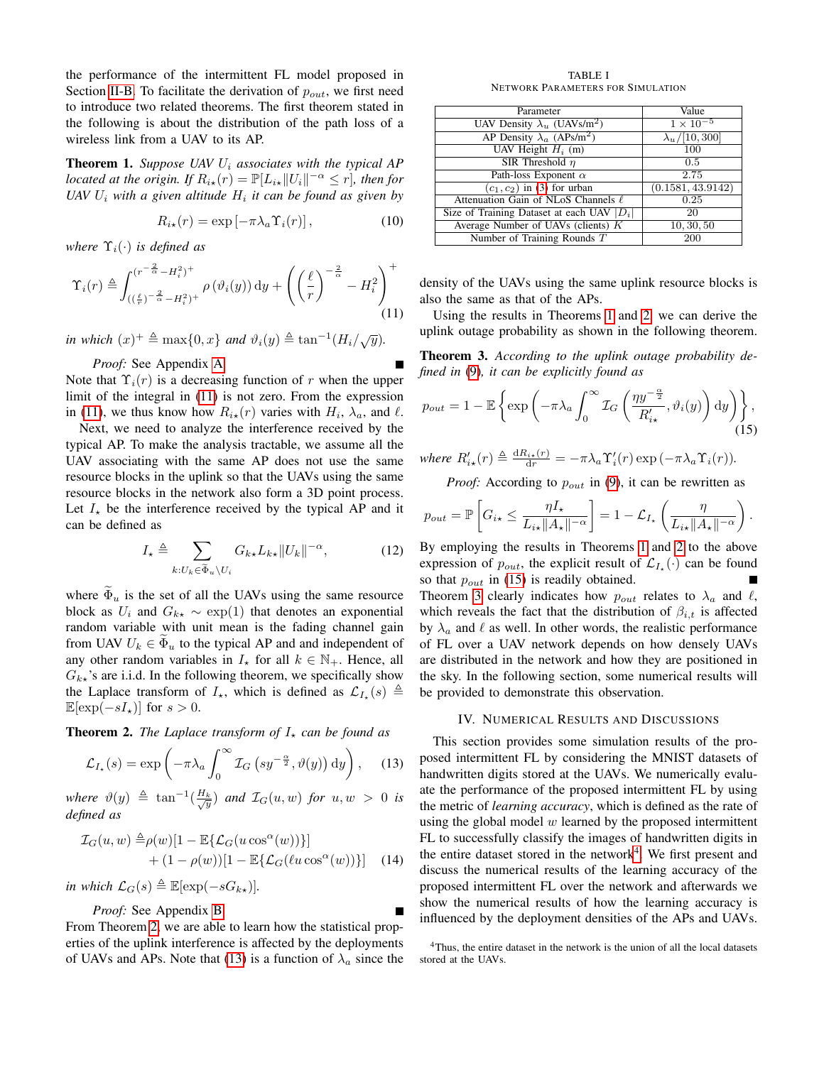the performance of the intermittent FL model proposed in Section [II-B.](#page-2-3) To facilitate the derivation of  $p_{out}$ , we first need to introduce two related theorems. The first theorem stated in the following is about the distribution of the path loss of a wireless link from a UAV to its AP.

<span id="page-3-3"></span>**Theorem 1.** *Suppose UAV*  $U_i$  *associates with the typical AP located at the origin. If*  $R_{i\star}(r) = \mathbb{P}[L_{i\star}||U_i||^{-\alpha} \leq r]$ *, then for* UAV  $U_i$  with a given altitude  $H_i$  it can be found as given by

$$
R_{i\star}(r) = \exp\left[-\pi\lambda_a \Upsilon_i(r)\right],\tag{10}
$$

*where*  $\Upsilon_i(\cdot)$  *is defined as* 

$$
\Upsilon_i(r) \triangleq \int_{\left(\left(\frac{\ell}{r}\right)^{-\frac{2}{\alpha}} - H_i^2\right)^+}^{\left(r^{-\frac{2}{\alpha}} - H_i^2\right)^+} \rho\left(\vartheta_i(y)\right) \mathrm{d}y + \left(\left(\frac{\ell}{r}\right)^{-\frac{2}{\alpha}} - H_i^2\right)^+ \tag{11}
$$

*in which*  $(x)^+ \triangleq \max\{0, x\}$  *and*  $\vartheta_i(y) \triangleq \tan^{-1}(H_i/\sqrt{y})$ *.* 

*Proof:* See Appendix [A.](#page-5-12)

Note that  $\Upsilon_i(r)$  is a decreasing function of r when the upper limit of the integral in [\(11\)](#page-3-0) is not zero. From the expression in [\(11\)](#page-3-0), we thus know how  $R_{i\star}(r)$  varies with  $H_i$ ,  $\lambda_a$ , and  $\ell$ .

Next, we need to analyze the interference received by the typical AP. To make the analysis tractable, we assume all the UAV associating with the same AP does not use the same resource blocks in the uplink so that the UAVs using the same resource blocks in the network also form a 3D point process. Let  $I_{\star}$  be the interference received by the typical AP and it can be defined as

$$
I_{\star} \triangleq \sum_{k:U_k \in \widetilde{\Phi}_u \backslash U_i} G_{k\star} L_{k\star} ||U_k||^{-\alpha}, \tag{12}
$$

where  $\Phi_u$  is the set of all the UAVs using the same resource block as  $U_i$  and  $G_{k\star} \sim \exp(1)$  that denotes an exponential random variable with unit mean is the fading channel gain from UAV  $U_k \in \Phi_u$  to the typical AP and and independent of any other random variables in  $I_{\star}$  for all  $k \in \mathbb{N}_{+}$ . Hence, all  $G_{k\star}$ 's are i.i.d. In the following theorem, we specifically show the Laplace transform of  $I_{\star}$ , which is defined as  $\mathcal{L}_{I_{\star}}(s) \triangleq$  $\mathbb{E}[\exp(-sI_{\star})]$  for  $s > 0$ .

<span id="page-3-1"></span>**Theorem 2.** *The Laplace transform of*  $I<sub>*</sub>$  *can be found as* 

$$
\mathcal{L}_{I_{\star}}(s) = \exp\left(-\pi\lambda_a \int_0^{\infty} \mathcal{I}_G\left(s y^{-\frac{\alpha}{2}}, \vartheta(y)\right) dy\right), \quad (13)
$$

 $where \vartheta(y) \triangleq \tan^{-1}(\frac{H_k}{\sqrt{y}})$  and  $\mathcal{I}_G(u, w)$  *for*  $u, w > 0$  *is defined as*

$$
\mathcal{I}_G(u, w) \triangleq \rho(w)[1 - \mathbb{E}\{\mathcal{L}_G(u\cos^{\alpha}(w))\}] + (1 - \rho(w))[1 - \mathbb{E}\{\mathcal{L}_G(\ell u\cos^{\alpha}(w))\}]
$$
(14)

*in which*  $\mathcal{L}_G(s) \triangleq \mathbb{E}[\exp(-sG_{k\star})]$ .

*Proof:* See Appendix [B.](#page-5-13)

From Theorem [2,](#page-3-1) we are able to learn how the statistical properties of the uplink interference is affected by the deployments of UAVs and APs. Note that [\(13\)](#page-3-2) is a function of  $\lambda_a$  since the

TABLE I NETWORK PARAMETERS FOR SIMULATION

<span id="page-3-7"></span>

| Parameter                                      | Value                |
|------------------------------------------------|----------------------|
| UAV Density $\lambda_u$ (UAVs/m <sup>2</sup> ) | $1 \times 10^{-5}$   |
| AP Density $\lambda_a$ (APs/m <sup>2</sup> )   | $\lambda_u/[10,300]$ |
| UAV Height $H_i$ (m)                           | 100                  |
| SIR Threshold $\eta$                           | 0.5                  |
| Path-loss Exponent $\alpha$                    | 2.75                 |
| $(c_1, c_2)$ in (3) for urban                  | (0.1581, 43.9142)    |
| Attenuation Gain of NLoS Channels $\ell$       | 0.25                 |
| Size of Training Dataset at each UAV $ D_i $   | 20                   |
| Average Number of UAVs (clients) $K$           | 10, 30, 50           |
| Number of Training Rounds T                    | 200                  |

<span id="page-3-0"></span>density of the UAVs using the same uplink resource blocks is also the same as that of the APs.

Using the results in Theorems [1](#page-3-3) and [2,](#page-3-1) we can derive the uplink outage probability as shown in the following theorem.

<span id="page-3-5"></span>Theorem 3. *According to the uplink outage probability defined in* [\(9\)](#page-2-4)*, it can be explicitly found as*

$$
p_{out} = 1 - \mathbb{E}\left\{\exp\left(-\pi\lambda_a \int_0^\infty \mathcal{I}_G\left(\frac{\eta y^{-\frac{\alpha}{2}}}{R'_{i\star}}, \vartheta_i(y)\right) dy\right)\right\},\tag{15}
$$

where 
$$
R'_{i\star}(r) \triangleq \frac{dR_{i\star}(r)}{dr} = -\pi \lambda_a \Upsilon'_i(r) \exp(-\pi \lambda_a \Upsilon_i(r)).
$$

<span id="page-3-4"></span>*Proof:* According to  $p_{out}$  in [\(9\)](#page-2-4), it can be rewritten as

$$
p_{out} = \mathbb{P}\left[G_{i\star} \leq \frac{\eta I_{\star}}{L_{i\star} || A_{\star} ||^{-\alpha}}\right] = 1 - \mathcal{L}_{I_{\star}}\left(\frac{\eta}{L_{i\star} || A_{\star} ||^{-\alpha}}\right).
$$

By employing the results in Theorems [1](#page-3-3) and [2](#page-3-1) to the above expression of  $p_{out}$ , the explicit result of  $\mathcal{L}_{I_{\star}}(\cdot)$  can be found so that  $p_{out}$  in [\(15\)](#page-3-4) is readily obtained.

Theorem [3](#page-3-5) clearly indicates how  $p_{out}$  relates to  $\lambda_a$  and  $\ell$ , which reveals the fact that the distribution of  $\beta_{i,t}$  is affected by  $\lambda_a$  and  $\ell$  as well. In other words, the realistic performance of FL over a UAV network depends on how densely UAVs are distributed in the network and how they are positioned in the sky. In the following section, some numerical results will be provided to demonstrate this observation.

#### IV. NUMERICAL RESULTS AND DISCUSSIONS

<span id="page-3-2"></span>This section provides some simulation results of the proposed intermittent FL by considering the MNIST datasets of handwritten digits stored at the UAVs. We numerically evaluate the performance of the proposed intermittent FL by using the metric of *learning accuracy*, which is defined as the rate of using the global model  $w$  learned by the proposed intermittent FL to successfully classify the images of handwritten digits in the entire dataset stored in the network<sup>[4](#page-3-6)</sup>. We first present and discuss the numerical results of the learning accuracy of the proposed intermittent FL over the network and afterwards we show the numerical results of how the learning accuracy is influenced by the deployment densities of the APs and UAVs.

<span id="page-3-6"></span><sup>&</sup>lt;sup>4</sup>Thus, the entire dataset in the network is the union of all the local datasets stored at the UAVs.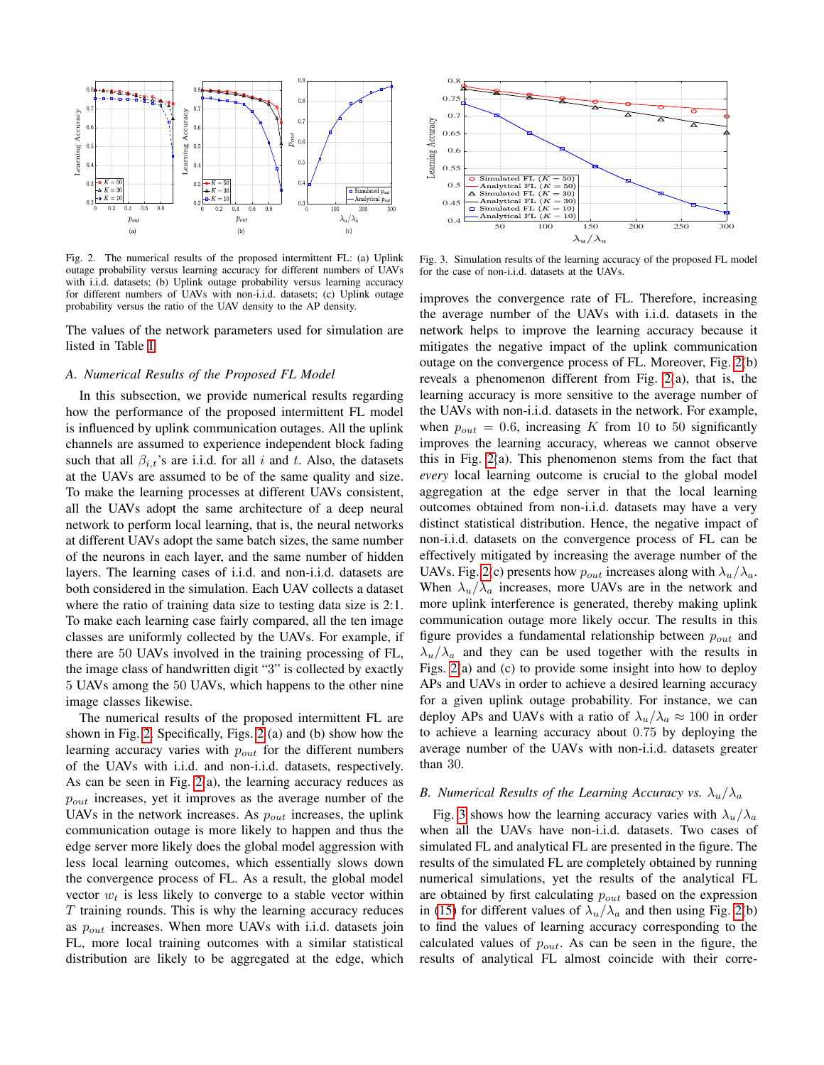

<span id="page-4-1"></span>Fig. 2. The numerical results of the proposed intermittent FL: (a) Uplink outage probability versus learning accuracy for different numbers of UAVs with i.i.d. datasets; (b) Uplink outage probability versus learning accuracy for different numbers of UAVs with non-i.i.d. datasets; (c) Uplink outage probability versus the ratio of the UAV density to the AP density.

The values of the network parameters used for simulation are listed in Table [I.](#page-3-7)

### <span id="page-4-0"></span>*A. Numerical Results of the Proposed FL Model*

In this subsection, we provide numerical results regarding how the performance of the proposed intermittent FL model is influenced by uplink communication outages. All the uplink channels are assumed to experience independent block fading such that all  $\beta_{i,t}$ 's are i.i.d. for all i and t. Also, the datasets at the UAVs are assumed to be of the same quality and size. To make the learning processes at different UAVs consistent, all the UAVs adopt the same architecture of a deep neural network to perform local learning, that is, the neural networks at different UAVs adopt the same batch sizes, the same number of the neurons in each layer, and the same number of hidden layers. The learning cases of i.i.d. and non-i.i.d. datasets are both considered in the simulation. Each UAV collects a dataset where the ratio of training data size to testing data size is 2:1. To make each learning case fairly compared, all the ten image classes are uniformly collected by the UAVs. For example, if there are 50 UAVs involved in the training processing of FL, the image class of handwritten digit "3" is collected by exactly 5 UAVs among the 50 UAVs, which happens to the other nine image classes likewise.

The numerical results of the proposed intermittent FL are shown in Fig. [2.](#page-4-1) Specifically, Figs. [2](#page-4-1) (a) and (b) show how the learning accuracy varies with  $p_{out}$  for the different numbers of the UAVs with i.i.d. and non-i.i.d. datasets, respectively. As can be seen in Fig. [2\(](#page-4-1)a), the learning accuracy reduces as  $p_{out}$  increases, yet it improves as the average number of the UAVs in the network increases. As  $p_{out}$  increases, the uplink communication outage is more likely to happen and thus the edge server more likely does the global model aggression with less local learning outcomes, which essentially slows down the convergence process of FL. As a result, the global model vector  $w_t$  is less likely to converge to a stable vector within  $T$  training rounds. This is why the learning accuracy reduces as  $p_{out}$  increases. When more UAVs with i.i.d. datasets join FL, more local training outcomes with a similar statistical



<span id="page-4-2"></span>Fig. 3. Simulation results of the learning accuracy of the proposed FL model for the case of non-i.i.d. datasets at the UAVs.

He 2. The anestics results of the energy column in the edge at the edge at the edge at the edge at the edge at the edge at the edge at the edge at the edge at the edge at the edge at the edge at the edge at the edge at th improves the convergence rate of FL. Therefore, increasing the average number of the UAVs with i.i.d. datasets in the network helps to improve the learning accuracy because it mitigates the negative impact of the uplink communication outage on the convergence process of FL. Moreover, Fig. [2\(](#page-4-1)b) reveals a phenomenon different from Fig. [2\(](#page-4-1)a), that is, the learning accuracy is more sensitive to the average number of the UAVs with non-i.i.d. datasets in the network. For example, when  $p_{out} = 0.6$ , increasing K from 10 to 50 significantly improves the learning accuracy, whereas we cannot observe this in Fig. [2\(](#page-4-1)a). This phenomenon stems from the fact that *every* local learning outcome is crucial to the global model aggregation at the edge server in that the local learning outcomes obtained from non-i.i.d. datasets may have a very distinct statistical distribution. Hence, the negative impact of non-i.i.d. datasets on the convergence process of FL can be effectively mitigated by increasing the average number of the UAVs. Fig. [2\(](#page-4-1)c) presents how  $p_{out}$  increases along with  $\lambda_u/\lambda_a$ . When  $\lambda_u/\lambda_a$  increases, more UAVs are in the network and more uplink interference is generated, thereby making uplink communication outage more likely occur. The results in this figure provides a fundamental relationship between  $p_{out}$  and  $\lambda_u/\lambda_a$  and they can be used together with the results in Figs. [2\(](#page-4-1)a) and (c) to provide some insight into how to deploy APs and UAVs in order to achieve a desired learning accuracy for a given uplink outage probability. For instance, we can deploy APs and UAVs with a ratio of  $\lambda_u/\lambda_a \approx 100$  in order to achieve a learning accuracy about 0.75 by deploying the average number of the UAVs with non-i.i.d. datasets greater than 30.

## *B. Numerical Results of the Learning Accuracy vs.*  $\lambda_u/\lambda_a$

Fig. [3](#page-4-2) shows how the learning accuracy varies with  $\lambda_u/\lambda_a$ when all the UAVs have non-i.i.d. datasets. Two cases of simulated FL and analytical FL are presented in the figure. The results of the simulated FL are completely obtained by running numerical simulations, yet the results of the analytical FL are obtained by first calculating  $p_{out}$  based on the expression in [\(15\)](#page-3-4) for different values of  $\lambda_u/\lambda_a$  and then using Fig. [2\(](#page-4-1)b) to find the values of learning accuracy corresponding to the calculated values of  $p_{out}$ . As can be seen in the figure, the results of analytical FL almost coincide with their corre